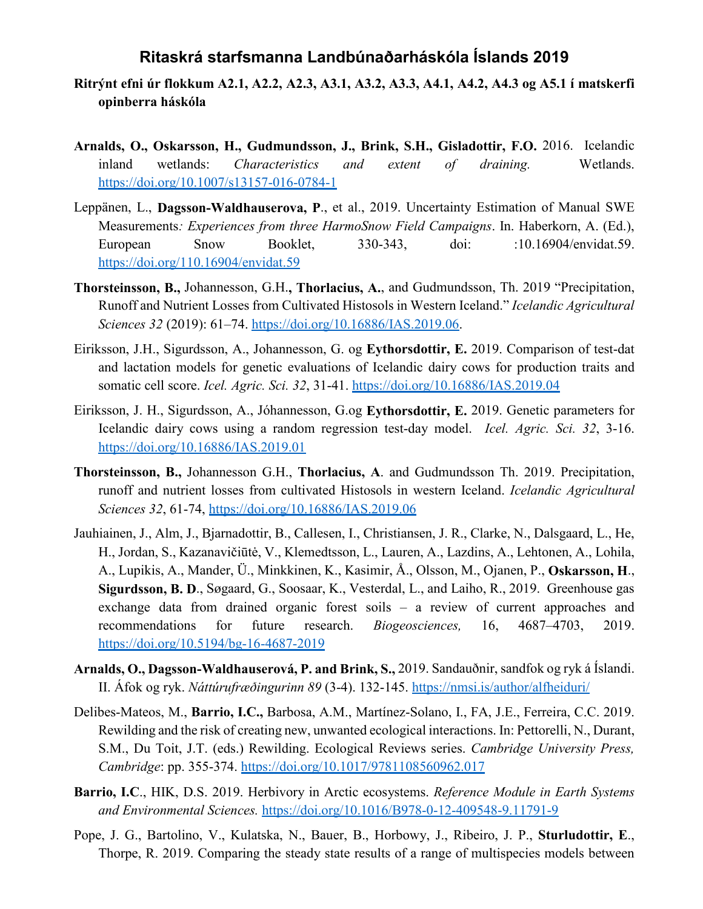## **Ritaskrá starfsmanna Landbúnaðarháskóla Íslands 2019**

- **Ritrýnt efni úr flokkum A2.1, A2.2, A2.3, A3.1, A3.2, A3.3, A4.1, A4.2, A4.3 og A5.1 í matskerfi opinberra háskóla**
- **Arnalds, O., Oskarsson, H., Gudmundsson, J., Brink, S.H., Gisladottir, F.O.** 2016. Icelandic inland wetlands: *Characteristics and extent of draining.* Wetlands. https://doi.org/10.1007/s13157-016-0784-1
- Leppänen, L., **Dagsson-Waldhauserova, P**., et al., 2019. Uncertainty Estimation of Manual SWE Measurements*: Experiences from three HarmoSnow Field Campaigns*. In. Haberkorn, A. (Ed.), European Snow Booklet, 330-343, doi: :10.16904/envidat.59. https://doi.org/110.16904/envidat.59
- **Thorsteinsson, B.,** Johannesson, G.H.**, Thorlacius, A.**, and Gudmundsson, Th. 2019 "Precipitation, Runoff and Nutrient Losses from Cultivated Histosols in Western Iceland." *Icelandic Agricultural Sciences 32* (2019): 61–74. https://doi.org/10.16886/IAS.2019.06.
- Eiriksson, J.H., Sigurdsson, A., Johannesson, G. og **Eythorsdottir, E.** 2019. Comparison of test-dat and lactation models for genetic evaluations of Icelandic dairy cows for production traits and somatic cell score. *Icel. Agric. Sci. 32*, 31-41. https://doi.org/10.16886/IAS.2019.04
- Eiriksson, J. H., Sigurdsson, A., Jóhannesson, G.og **Eythorsdottir, E.** 2019. Genetic parameters for Icelandic dairy cows using a random regression test-day model. *Icel. Agric. Sci. 32*, 3-16. https://doi.org/10.16886/IAS.2019.01
- **Thorsteinsson, B.,** Johannesson G.H., **Thorlacius, A**. and Gudmundsson Th. 2019. Precipitation, runoff and nutrient losses from cultivated Histosols in western Iceland. *Icelandic Agricultural Sciences 32*, 61-74, https://doi.org/10.16886/IAS.2019.06
- Jauhiainen, J., Alm, J., Bjarnadottir, B., Callesen, I., Christiansen, J. R., Clarke, N., Dalsgaard, L., He, H., Jordan, S., Kazanavičiūtė, V., Klemedtsson, L., Lauren, A., Lazdins, A., Lehtonen, A., Lohila, A., Lupikis, A., Mander, Ü., Minkkinen, K., Kasimir, Å., Olsson, M., Ojanen, P., **Oskarsson, H**., **Sigurdsson, B. D**., Søgaard, G., Soosaar, K., Vesterdal, L., and Laiho, R., 2019. Greenhouse gas exchange data from drained organic forest soils – a review of current approaches and recommendations for future research. *Biogeosciences,* 16, 4687–4703, 2019. https://doi.org/10.5194/bg-16-4687-2019
- **Arnalds, O., Dagsson-Waldhauserová, P. and Brink, S.,** 2019. Sandauðnir, sandfok og ryk á Íslandi. II. Áfok og ryk. *Náttúrufræðingurinn 89* (3-4). 132-145. https://nmsi.is/author/alfheiduri/
- Delibes-Mateos, M., **Barrio, I.C.,** Barbosa, A.M., Martínez-Solano, I., FA, J.E., Ferreira, C.C. 2019. Rewilding and the risk of creating new, unwanted ecological interactions. In: Pettorelli, N., Durant, S.M., Du Toit, J.T. (eds.) Rewilding. Ecological Reviews series. *Cambridge University Press, Cambridge*: pp. 355-374. https://doi.org/10.1017/9781108560962.017
- **Barrio, I.C**., HIK, D.S. 2019. Herbivory in Arctic ecosystems. *Reference Module in Earth Systems and Environmental Sciences.* https://doi.org/10.1016/B978-0-12-409548-9.11791-9
- Pope, J. G., Bartolino, V., Kulatska, N., Bauer, B., Horbowy, J., Ribeiro, J. P., **Sturludottir, E**., Thorpe, R. 2019. Comparing the steady state results of a range of multispecies models between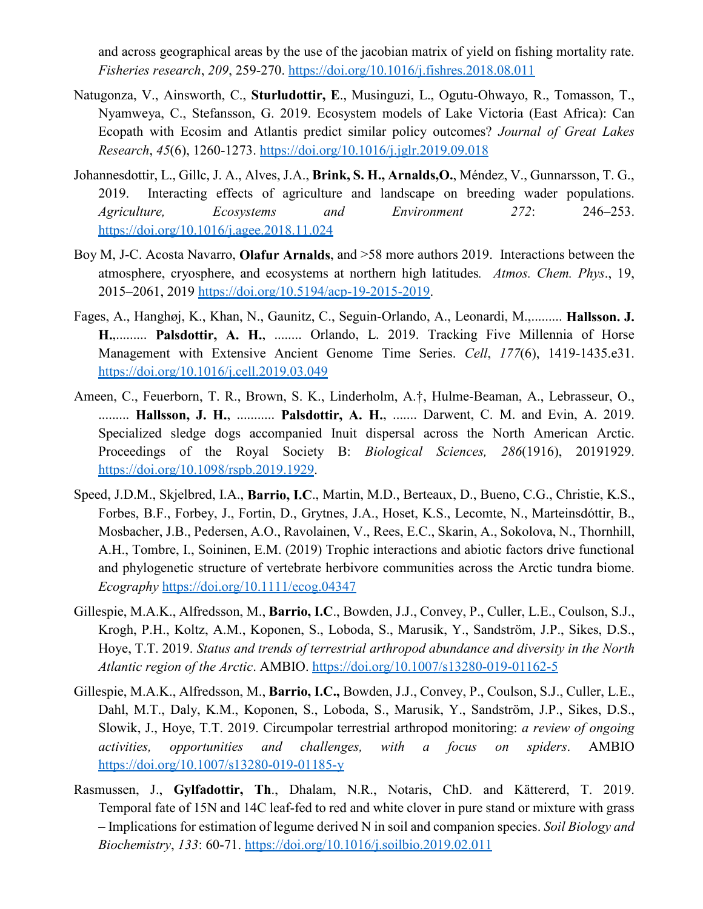and across geographical areas by the use of the jacobian matrix of yield on fishing mortality rate. *Fisheries research*, *209*, 259-270. https://doi.org/10.1016/j.fishres.2018.08.011

- Natugonza, V., Ainsworth, C., **Sturludottir, E**., Musinguzi, L., Ogutu-Ohwayo, R., Tomasson, T., Nyamweya, C., Stefansson, G. 2019. Ecosystem models of Lake Victoria (East Africa): Can Ecopath with Ecosim and Atlantis predict similar policy outcomes? *Journal of Great Lakes Research*, *45*(6), 1260-1273. https://doi.org/10.1016/j.jglr.2019.09.018
- Johannesdottir, L., Gillc, J. A., Alves, J.A., **Brink, S. H., Arnalds,O.**, Méndez, V., Gunnarsson, T. G., 2019. Interacting effects of agriculture and landscape on breeding wader populations. *Agriculture, Ecosystems and Environment 272*: 246–253. https://doi.org/10.1016/j.agee.2018.11.024
- Boy M, J-C. Acosta Navarro, **Olafur Arnalds**, and >58 more authors 2019. Interactions between the atmosphere, cryosphere, and ecosystems at northern high latitudes*. Atmos. Chem. Phys*., 19, 2015–2061, 2019 https://doi.org/10.5194/acp-19-2015-2019.
- Fages, A., Hanghøj, K., Khan, N., Gaunitz, C., Seguin-Orlando, A., Leonardi, M.,......... **Hallsson. J. H.**,......... **Palsdottir, A. H.**, ........ Orlando, L. 2019. Tracking Five Millennia of Horse Management with Extensive Ancient Genome Time Series. *Cell*, *177*(6), 1419-1435.e31. https://doi.org/10.1016/j.cell.2019.03.049
- Ameen, C., Feuerborn, T. R., Brown, S. K., Linderholm, A.†, Hulme-Beaman, A., Lebrasseur, O., ......... **Hallsson, J. H.**, ........... **Palsdottir, A. H.**, ....... Darwent, C. M. and Evin, A. 2019. Specialized sledge dogs accompanied Inuit dispersal across the North American Arctic. Proceedings of the Royal Society B: *Biological Sciences, 286*(1916), 20191929. https://doi.org/10.1098/rspb.2019.1929.
- Speed, J.D.M., Skjelbred, I.A., **Barrio, I.C**., Martin, M.D., Berteaux, D., Bueno, C.G., Christie, K.S., Forbes, B.F., Forbey, J., Fortin, D., Grytnes, J.A., Hoset, K.S., Lecomte, N., Marteinsdóttir, B., Mosbacher, J.B., Pedersen, A.O., Ravolainen, V., Rees, E.C., Skarin, A., Sokolova, N., Thornhill, A.H., Tombre, I., Soininen, E.M. (2019) Trophic interactions and abiotic factors drive functional and phylogenetic structure of vertebrate herbivore communities across the Arctic tundra biome. *Ecography* https://doi.org/10.1111/ecog.04347
- Gillespie, M.A.K., Alfredsson, M., **Barrio, I.C**., Bowden, J.J., Convey, P., Culler, L.E., Coulson, S.J., Krogh, P.H., Koltz, A.M., Koponen, S., Loboda, S., Marusik, Y., Sandström, J.P., Sikes, D.S., Hoye, T.T. 2019. *Status and trends of terrestrial arthropod abundance and diversity in the North Atlantic region of the Arctic*. AMBIO. https://doi.org/10.1007/s13280-019-01162-5
- Gillespie, M.A.K., Alfredsson, M., **Barrio, I.C.,** Bowden, J.J., Convey, P., Coulson, S.J., Culler, L.E., Dahl, M.T., Daly, K.M., Koponen, S., Loboda, S., Marusik, Y., Sandström, J.P., Sikes, D.S., Slowik, J., Hoye, T.T. 2019. Circumpolar terrestrial arthropod monitoring: *a review of ongoing activities, opportunities and challenges, with a focus on spiders*. AMBIO https://doi.org/10.1007/s13280-019-01185-y
- Rasmussen, J., **Gylfadottir, Th**., Dhalam, N.R., Notaris, ChD. and Kättererd, T. 2019. Temporal fate of 15N and 14C leaf-fed to red and white clover in pure stand or mixture with grass – Implications for estimation of legume derived N in soil and companion species. *Soil Biology and Biochemistry*, *133*: 60-71. https://doi.org/10.1016/j.soilbio.2019.02.011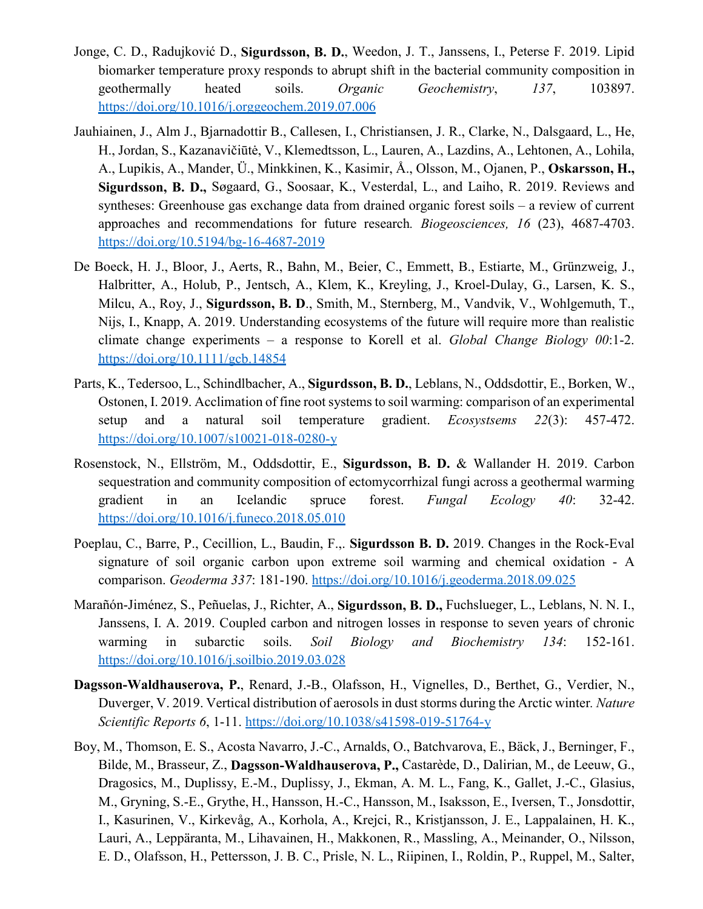- Jonge, C. D., Radujković D., **Sigurdsson, B. D.**, Weedon, J. T., Janssens, I., Peterse F. 2019. Lipid biomarker temperature proxy responds to abrupt shift in the bacterial community composition in geothermally heated soils. *Organic Geochemistry*, *137*, 103897. https://doi.org/10.1016/j.orggeochem.2019.07.006
- Jauhiainen, J., Alm J., Bjarnadottir B., Callesen, I., Christiansen, J. R., Clarke, N., Dalsgaard, L., He, H., Jordan, S., Kazanavičiūtė, V., Klemedtsson, L., Lauren, A., Lazdins, A., Lehtonen, A., Lohila, A., Lupikis, A., Mander, Ü., Minkkinen, K., Kasimir, Å., Olsson, M., Ojanen, P., **Oskarsson, H., Sigurdsson, B. D.,** Søgaard, G., Soosaar, K., Vesterdal, L., and Laiho, R. 2019. Reviews and syntheses: Greenhouse gas exchange data from drained organic forest soils – a review of current approaches and recommendations for future research*. Biogeosciences, 16* (23), 4687-4703. https://doi.org/10.5194/bg-16-4687-2019
- De Boeck, H. J., Bloor, J., Aerts, R., Bahn, M., Beier, C., Emmett, B., Estiarte, M., Grünzweig, J., Halbritter, A., Holub, P., Jentsch, A., Klem, K., Kreyling, J., Kroel-Dulay, G., Larsen, K. S., Milcu, A., Roy, J., **Sigurdsson, B. D**., Smith, M., Sternberg, M., Vandvik, V., Wohlgemuth, T., Nijs, I., Knapp, A. 2019. Understanding ecosystems of the future will require more than realistic climate change experiments – a response to Korell et al. *Global Change Biology 00*:1-2. https://doi.org/10.1111/gcb.14854
- Parts, K., Tedersoo, L., Schindlbacher, A., **Sigurdsson, B. D.**, Leblans, N., Oddsdottir, E., Borken, W., Ostonen, I. 2019. Acclimation of fine root systems to soil warming: comparison of an experimental setup and a natural soil temperature gradient. *Ecosystsems 22*(3): 457-472. https://doi.org/10.1007/s10021-018-0280-y
- Rosenstock, N., Ellström, M., Oddsdottir, E., **Sigurdsson, B. D.** & Wallander H. 2019. Carbon sequestration and community composition of ectomycorrhizal fungi across a geothermal warming gradient in an Icelandic spruce forest. *Fungal Ecology 40*: 32-42. https://doi.org/10.1016/j.funeco.2018.05.010
- Poeplau, C., Barre, P., Cecillion, L., Baudin, F.,. **Sigurdsson B. D.** 2019. Changes in the Rock-Eval signature of soil organic carbon upon extreme soil warming and chemical oxidation - A comparison. *Geoderma 337*: 181-190. https://doi.org/10.1016/j.geoderma.2018.09.025
- Marañón-Jiménez, S., Peñuelas, J., Richter, A., **Sigurdsson, B. D.,** Fuchslueger, L., Leblans, N. N. I., Janssens, I. A. 2019. Coupled carbon and nitrogen losses in response to seven years of chronic warming in subarctic soils. *Soil Biology and Biochemistry 134*: 152-161. https://doi.org/10.1016/j.soilbio.2019.03.028
- **Dagsson-Waldhauserova, P.**, Renard, J.-B., Olafsson, H., Vignelles, D., Berthet, G., Verdier, N., Duverger, V. 2019. Vertical distribution of aerosols in dust storms during the Arctic winter*. Nature Scientific Reports 6*, 1-11. https://doi.org/10.1038/s41598-019-51764-y
- Boy, M., Thomson, E. S., Acosta Navarro, J.-C., Arnalds, O., Batchvarova, E., Bäck, J., Berninger, F., Bilde, M., Brasseur, Z., **Dagsson-Waldhauserova, P.,** Castarède, D., Dalirian, M., de Leeuw, G., Dragosics, M., Duplissy, E.-M., Duplissy, J., Ekman, A. M. L., Fang, K., Gallet, J.-C., Glasius, M., Gryning, S.-E., Grythe, H., Hansson, H.-C., Hansson, M., Isaksson, E., Iversen, T., Jonsdottir, I., Kasurinen, V., Kirkevåg, A., Korhola, A., Krejci, R., Kristjansson, J. E., Lappalainen, H. K., Lauri, A., Leppäranta, M., Lihavainen, H., Makkonen, R., Massling, A., Meinander, O., Nilsson, E. D., Olafsson, H., Pettersson, J. B. C., Prisle, N. L., Riipinen, I., Roldin, P., Ruppel, M., Salter,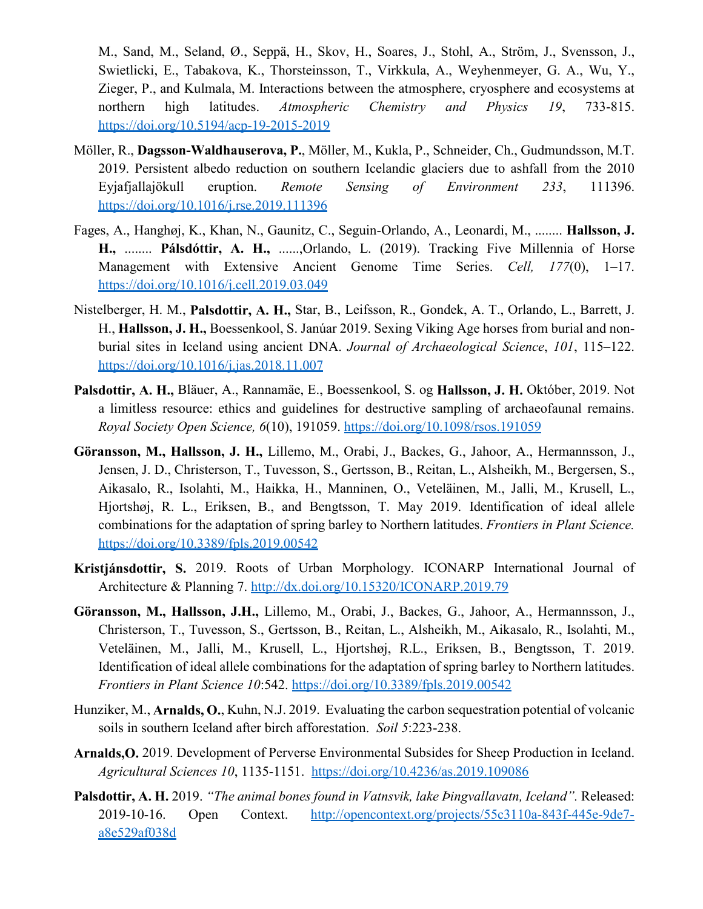M., Sand, M., Seland, Ø., Seppä, H., Skov, H., Soares, J., Stohl, A., Ström, J., Svensson, J., Swietlicki, E., Tabakova, K., Thorsteinsson, T., Virkkula, A., Weyhenmeyer, G. A., Wu, Y., Zieger, P., and Kulmala, M. Interactions between the atmosphere, cryosphere and ecosystems at northern high latitudes. *Atmospheric Chemistry and Physics 19*, 733-815. https://doi.org/10.5194/acp-19-2015-2019

- Möller, R., **Dagsson-Waldhauserova, P.**, Möller, M., Kukla, P., Schneider, Ch., Gudmundsson, M.T. 2019. Persistent albedo reduction on southern Icelandic glaciers due to ashfall from the 2010 Eyjafjallajökull eruption. *Remote Sensing of Environment 233*, 111396. https://doi.org/10.1016/j.rse.2019.111396
- Fages, A., Hanghøj, K., Khan, N., Gaunitz, C., Seguin-Orlando, A., Leonardi, M., ........ **Hallsson, J. H.,** ........ **Pálsdóttir, A. H.,** ......,Orlando, L. (2019). Tracking Five Millennia of Horse Management with Extensive Ancient Genome Time Series. *Cell, 177*(0), 1–17. https://doi.org/10.1016/j.cell.2019.03.049
- Nistelberger, H. M., **Palsdottir, A. H.,** Star, B., Leifsson, R., Gondek, A. T., Orlando, L., Barrett, J. H., **Hallsson, J. H.,** Boessenkool, S. Janúar 2019. Sexing Viking Age horses from burial and nonburial sites in Iceland using ancient DNA. *Journal of Archaeological Science*, *101*, 115–122. https://doi.org/10.1016/j.jas.2018.11.007
- **Palsdottir, A. H.,** Bläuer, A., Rannamäe, E., Boessenkool, S. og **Hallsson, J. H.** Október, 2019. Not a limitless resource: ethics and guidelines for destructive sampling of archaeofaunal remains. *Royal Society Open Science, 6*(10), 191059. https://doi.org/10.1098/rsos.191059
- **Göransson, M., Hallsson, J. H.,** Lillemo, M., Orabi, J., Backes, G., Jahoor, A., Hermannsson, J., Jensen, J. D., Christerson, T., Tuvesson, S., Gertsson, B., Reitan, L., Alsheikh, M., Bergersen, S., Aikasalo, R., Isolahti, M., Haikka, H., Manninen, O., Veteläinen, M., Jalli, M., Krusell, L., Hjortshøj, R. L., Eriksen, B., and Bengtsson, T. May 2019. Identification of ideal allele combinations for the adaptation of spring barley to Northern latitudes. *Frontiers in Plant Science.* https://doi.org/10.3389/fpls.2019.00542
- **Kristjánsdottir, S.** 2019. Roots of Urban Morphology. ICONARP International Journal of Architecture & Planning 7. http://dx.doi.org/10.15320/ICONARP.2019.79
- **Göransson, M., Hallsson, J.H.,** Lillemo, M., Orabi, J., Backes, G., Jahoor, A., Hermannsson, J., Christerson, T., Tuvesson, S., Gertsson, B., Reitan, L., Alsheikh, M., Aikasalo, R., Isolahti, M., Veteläinen, M., Jalli, M., Krusell, L., Hjortshøj, R.L., Eriksen, B., Bengtsson, T. 2019. Identification of ideal allele combinations for the adaptation of spring barley to Northern latitudes. *Frontiers in Plant Science 10*:542. https://doi.org/10.3389/fpls.2019.00542
- Hunziker, M., **Arnalds, O.**, Kuhn, N.J. 2019. Evaluating the carbon sequestration potential of volcanic soils in southern Iceland after birch afforestation. *Soil 5*:223-238.
- **Arnalds,O.** 2019. Development of Perverse Environmental Subsides for Sheep Production in Iceland. *Agricultural Sciences 10*, 1135-1151. https://doi.org/10.4236/as.2019.109086
- **Palsdottir, A. H.** 2019. *"The animal bones found in Vatnsvik, lake Þingvallavatn, Iceland".* Released: 2019-10-16. Open Context. http://opencontext.org/projects/55c3110a-843f-445e-9de7 a8e529af038d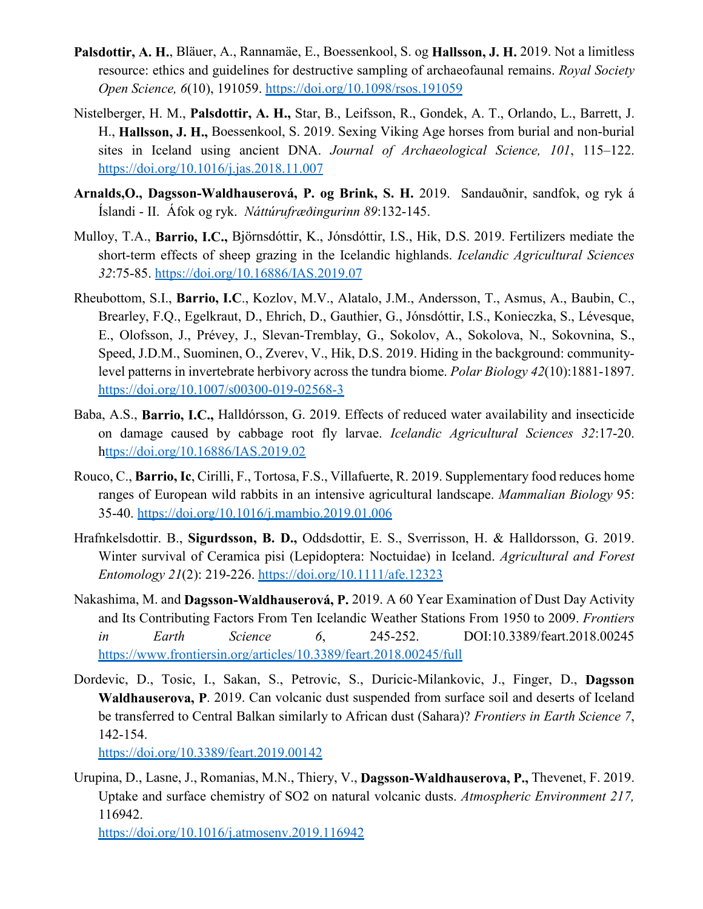- **Palsdottir, A. H.**, Bläuer, A., Rannamäe, E., Boessenkool, S. og **Hallsson, J. H.** 2019. Not a limitless resource: ethics and guidelines for destructive sampling of archaeofaunal remains. *Royal Society Open Science, 6*(10), 191059. https://doi.org/10.1098/rsos.191059
- Nistelberger, H. M., **Palsdottir, A. H.,** Star, B., Leifsson, R., Gondek, A. T., Orlando, L., Barrett, J. H., **Hallsson, J. H.,** Boessenkool, S. 2019. Sexing Viking Age horses from burial and non-burial sites in Iceland using ancient DNA. *Journal of Archaeological Science, 101*, 115–122. https://doi.org/10.1016/j.jas.2018.11.007
- **Arnalds,O., Dagsson-Waldhauserová, P. og Brink, S. H.** 2019. Sandauðnir, sandfok, og ryk á Íslandi - II. Áfok og ryk. *Náttúrufræðingurinn 89*:132-145.
- Mulloy, T.A., **Barrio, I.C.,** Björnsdóttir, K., Jónsdóttir, I.S., Hik, D.S. 2019. Fertilizers mediate the short-term effects of sheep grazing in the Icelandic highlands. *Icelandic Agricultural Sciences 32*:75-85. https://doi.org/10.16886/IAS.2019.07
- Rheubottom, S.I., **Barrio, I.C**., Kozlov, M.V., Alatalo, J.M., Andersson, T., Asmus, A., Baubin, C., Brearley, F.Q., Egelkraut, D., Ehrich, D., Gauthier, G., Jónsdóttir, I.S., Konieczka, S., Lévesque, E., Olofsson, J., Prévey, J., Slevan-Tremblay, G., Sokolov, A., Sokolova, N., Sokovnina, S., Speed, J.D.M., Suominen, O., Zverev, V., Hik, D.S. 2019. Hiding in the background: communitylevel patterns in invertebrate herbivory across the tundra biome. *Polar Biology 42*(10):1881-1897. https://doi.org/10.1007/s00300-019-02568-3
- Baba, A.S., **Barrio, I.C.,** Halldórsson, G. 2019. Effects of reduced water availability and insecticide on damage caused by cabbage root fly larvae. *Icelandic Agricultural Sciences 32*:17-20. https://doi.org/10.16886/IAS.2019.02
- Rouco, C., **Barrio, Ic**, Cirilli, F., Tortosa, F.S., Villafuerte, R. 2019. Supplementary food reduces home ranges of European wild rabbits in an intensive agricultural landscape. *Mammalian Biology* 95: 35-40. https://doi.org/10.1016/j.mambio.2019.01.006
- Hrafnkelsdottir. B., **Sigurdsson, B. D.,** Oddsdottir, E. S., Sverrisson, H. & Halldorsson, G. 2019. Winter survival of Ceramica pisi (Lepidoptera: Noctuidae) in Iceland. *Agricultural and Forest Entomology 21*(2): 219-226. https://doi.org/10.1111/afe.12323
- Nakashima, M. and **Dagsson-Waldhauserová, P.** 2019. A 60 Year Examination of Dust Day Activity and Its Contributing Factors From Ten Icelandic Weather Stations From 1950 to 2009. *Frontiers in Earth Science 6*, 245-252. DOI:10.3389/feart.2018.00245 https://www.frontiersin.org/articles/10.3389/feart.2018.00245/full
- Dordevic, D., Tosic, I., Sakan, S., Petrovic, S., Duricic-Milankovic, J., Finger, D., **Dagsson Waldhauserova, P**. 2019. Can volcanic dust suspended from surface soil and deserts of Iceland be transferred to Central Balkan similarly to African dust (Sahara)? *Frontiers in Earth Science 7*, 142-154.

https://doi.org/10.3389/feart.2019.00142

Urupina, D., Lasne, J., Romanias, M.N., Thiery, V., **Dagsson-Waldhauserova, P.,** Thevenet, F. 2019. Uptake and surface chemistry of SO2 on natural volcanic dusts. *Atmospheric Environment 217,* 116942.

https://doi.org/10.1016/j.atmosenv.2019.116942